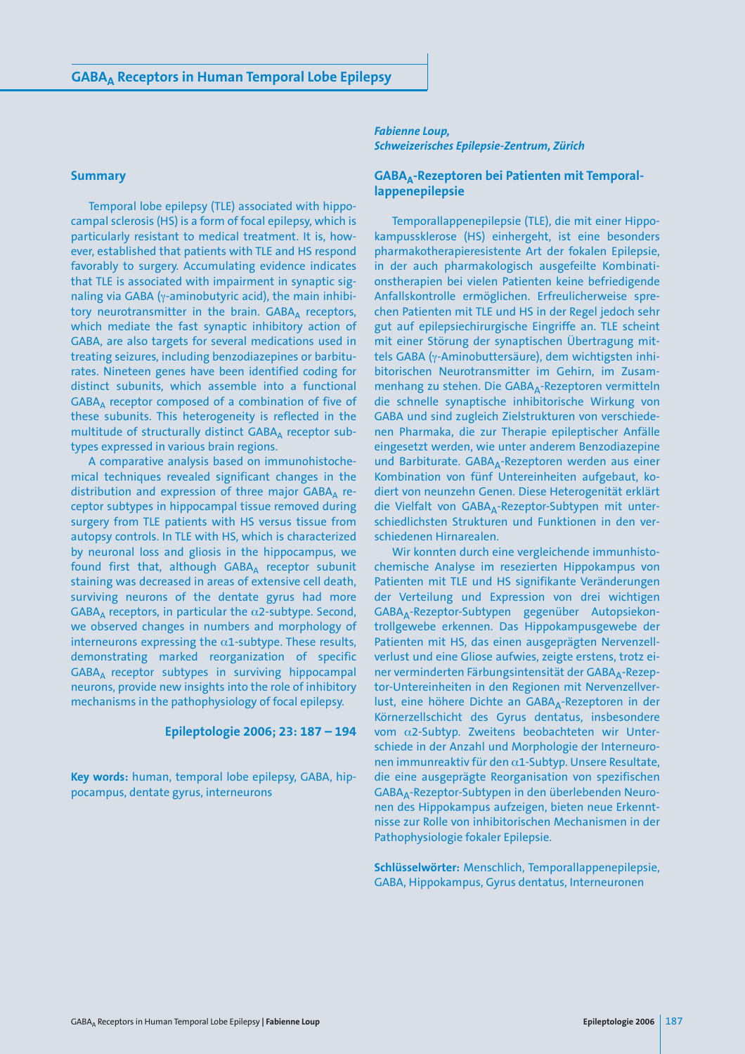#### **Summary**

Temporal lobe epilepsy (TLE) associated with hippocampal sclerosis (HS) is a form of focal epilepsy, which is particularly resistant to medical treatment. It is, however, established that patients with TLE and HS respond favorably to surgery. Accumulating evidence indicates that TLE is associated with impairment in synaptic signaling via GABA (γ-aminobutyric acid), the main inhibitory neurotransmitter in the brain.  $GABA_A$  receptors, which mediate the fast synaptic inhibitory action of GABA, are also targets for several medications used in treating seizures, including benzodiazepines or barbiturates. Nineteen genes have been identified coding for distinct subunits, which assemble into a functional  $GABA_A$  receptor composed of a combination of five of these subunits. This heterogeneity is reflected in the multitude of structurally distinct  $GABA_A$  receptor subtypes expressed in various brain regions.

A comparative analysis based on immunohistochemical techniques revealed significant changes in the distribution and expression of three major  $GABA_\Delta$  receptor subtypes in hippocampal tissue removed during surgery from TLE patients with HS versus tissue from autopsy controls. In TLE with HS, which is characterized by neuronal loss and gliosis in the hippocampus, we found first that, although  $GABA_A$  receptor subunit staining was decreased in areas of extensive cell death, surviving neurons of the dentate gyrus had more  $GABA_A$  receptors, in particular the  $\alpha$ 2-subtype. Second, we observed changes in numbers and morphology of interneurons expressing the  $\alpha$ 1-subtype. These results, demonstrating marked reorganization of specific GABAA receptor subtypes in surviving hippocampal neurons, provide new insights into the role of inhibitory mechanisms in the pathophysiology of focal epilepsy.

### **Epileptologie 2006; 23: 187 – 194**

**Key words:** human, temporal lobe epilepsy, GABA, hippocampus, dentate gyrus, interneurons

#### *Fabienne Loup, Schweizerisches Epilepsie-Zentrum, Zürich*

### GABA<sub>A</sub>-Rezeptoren bei Patienten mit Temporal**lappenepilepsie**

Temporallappenepilepsie (TLE), die mit einer Hippokampussklerose (HS) einhergeht, ist eine besonders pharmakotherapieresistente Art der fokalen Epilepsie, in der auch pharmakologisch ausgefeilte Kombinationstherapien bei vielen Patienten keine befriedigende Anfallskontrolle ermöglichen. Erfreulicherweise sprechen Patienten mit TLE und HS in der Regel jedoch sehr gut auf epilepsiechirurgische Eingriffe an. TLE scheint mit einer Störung der synaptischen Übertragung mittels GABA (γ-Aminobuttersäure), dem wichtigsten inhibitorischen Neurotransmitter im Gehirn, im Zusammenhang zu stehen. Die GABA<sub>A</sub>-Rezeptoren vermitteln die schnelle synaptische inhibitorische Wirkung von GABA und sind zugleich Zielstrukturen von verschiedenen Pharmaka, die zur Therapie epileptischer Anfälle eingesetzt werden, wie unter anderem Benzodiazepine und Barbiturate. GABA<sub>A</sub>-Rezeptoren werden aus einer Kombination von fünf Untereinheiten aufgebaut, kodiert von neunzehn Genen. Diese Heterogenität erklärt die Vielfalt von GABA<sub>A</sub>-Rezeptor-Subtypen mit unterschiedlichsten Strukturen und Funktionen in den verschiedenen Hirnarealen.

Wir konnten durch eine vergleichende immunhistochemische Analyse im resezierten Hippokampus von Patienten mit TLE und HS signifikante Veränderungen der Verteilung und Expression von drei wichtigen GABAA-Rezeptor-Subtypen gegenüber Autopsiekontrollgewebe erkennen. Das Hippokampusgewebe der Patienten mit HS, das einen ausgeprägten Nervenzellverlust und eine Gliose aufwies, zeigte erstens, trotz einer verminderten Färbungsintensität der GABA<sub>A</sub>-Rezeptor-Untereinheiten in den Regionen mit Nervenzellverlust, eine höhere Dichte an GABA<sub>A</sub>-Rezeptoren in der Körnerzellschicht des Gyrus dentatus, insbesondere vom α2-Subtyp. Zweitens beobachteten wir Unterschiede in der Anzahl und Morphologie der Interneuronen immunreaktiv für den α1-Subtyp. Unsere Resultate, die eine ausgeprägte Reorganisation von spezifischen GABAA-Rezeptor-Subtypen in den überlebenden Neuronen des Hippokampus aufzeigen, bieten neue Erkenntnisse zur Rolle von inhibitorischen Mechanismen in der Pathophysiologie fokaler Epilepsie.

**Schlüsselwörter:** Menschlich, Temporallappenepilepsie, GABA, Hippokampus, Gyrus dentatus, Interneuronen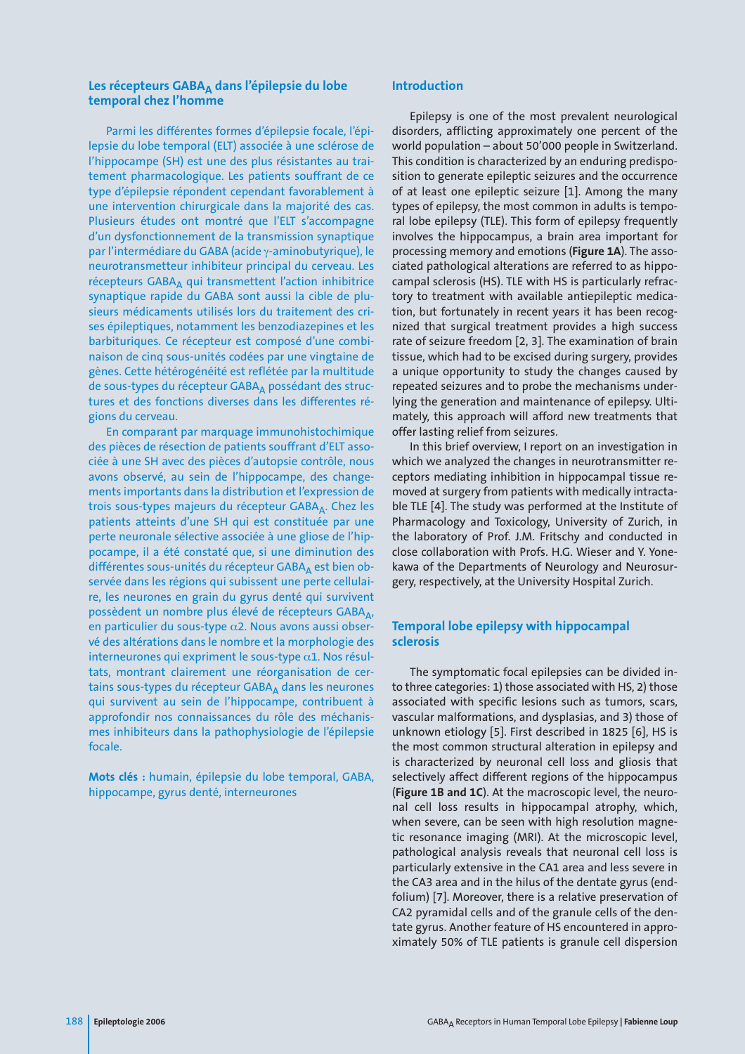# Les récepteurs GABA<sub>A</sub> dans l'épilepsie du lobe **temporal chez l'homme**

Parmi les différentes formes d'épilepsie focale, l'épilepsie du lobe temporal (ELT) associée à une sclérose de l'hippocampe (SH) est une des plus résistantes au traitement pharmacologique. Les patients souffrant de ce type d'épilepsie répondent cependant favorablement à une intervention chirurgicale dans la majorité des cas. Plusieurs études ont montré que l'ELT s'accompagne d'un dysfonctionnement de la transmission synaptique par l'intermédiare du GABA (acide γ-aminobutyrique), le neurotransmetteur inhibiteur principal du cerveau. Les récepteurs GABA<sub>A</sub> qui transmettent l'action inhibitrice synaptique rapide du GABA sont aussi la cible de plusieurs médicaments utilisés lors du traitement des crises épileptiques, notamment les benzodiazepines et les barbituriques. Ce récepteur est composé d'une combinaison de cinq sous-unités codées par une vingtaine de gènes. Cette hétérogénéité est reflétée par la multitude de sous-types du récepteur GABAA possédant des structures et des fonctions diverses dans les differentes régions du cerveau.

En comparant par marquage immunohistochimique des pièces de résection de patients souffrant d'ELT associée à une SH avec des pièces d'autopsie contrôle, nous avons observé, au sein de l'hippocampe, des changements importants dans la distribution et l'expression de trois sous-types majeurs du récepteur GABA<sub>A</sub>. Chez les patients atteints d'une SH qui est constituée par une perte neuronale sélective associée à une gliose de l'hippocampe, il a été constaté que, si une diminution des différentes sous-unités du récepteur GABAA est bien observée dans les régions qui subissent une perte cellulaire, les neurones en grain du gyrus denté qui survivent possèdent un nombre plus élevé de récepteurs GABA, en particulier du sous-type α2. Nous avons aussi observé des altérations dans le nombre et la morphologie des interneurones qui expriment le sous-type  $\alpha$ 1. Nos résultats, montrant clairement une réorganisation de certains sous-types du récepteur GABAA dans les neurones qui survivent au sein de l'hippocampe, contribuent à approfondir nos connaissances du rôle des méchanismes inhibiteurs dans la pathophysiologie de l'épilepsie focale.

**Mots clés :** humain, épilepsie du lobe temporal, GABA, hippocampe, gyrus denté, interneurones

# **Introduction**

Epilepsy is one of the most prevalent neurological disorders, afflicting approximately one percent of the world population – about 50'000 people in Switzerland. This condition is characterized by an enduring predisposition to generate epileptic seizures and the occurrence of at least one epileptic seizure [1]. Among the many types of epilepsy, the most common in adults is temporal lobe epilepsy (TLE). This form of epilepsy frequently involves the hippocampus, a brain area important for processing memory and emotions (**Figure 1A**). The associated pathological alterations are referred to as hippocampal sclerosis (HS). TLE with HS is particularly refractory to treatment with available antiepileptic medication, but fortunately in recent years it has been recognized that surgical treatment provides a high success rate of seizure freedom [2, 3]. The examination of brain tissue, which had to be excised during surgery, provides a unique opportunity to study the changes caused by repeated seizures and to probe the mechanisms underlying the generation and maintenance of epilepsy. Ultimately, this approach will afford new treatments that offer lasting relief from seizures.

In this brief overview, I report on an investigation in which we analyzed the changes in neurotransmitter receptors mediating inhibition in hippocampal tissue removed at surgery from patients with medically intractable TLE [4]. The study was performed at the Institute of Pharmacology and Toxicology, University of Zurich, in the laboratory of Prof. J.M. Fritschy and conducted in close collaboration with Profs. H.G. Wieser and Y. Yonekawa of the Departments of Neurology and Neurosurgery, respectively, at the University Hospital Zurich.

# **Temporal lobe epilepsy with hippocampal sclerosis**

The symptomatic focal epilepsies can be divided into three categories: 1) those associated with HS, 2) those associated with specific lesions such as tumors, scars, vascular malformations, and dysplasias, and 3) those of unknown etiology [5]. First described in 1825 [6], HS is the most common structural alteration in epilepsy and is characterized by neuronal cell loss and gliosis that selectively affect different regions of the hippocampus (**Figure 1B and 1C**). At the macroscopic level, the neuronal cell loss results in hippocampal atrophy, which, when severe, can be seen with high resolution magnetic resonance imaging (MRI). At the microscopic level, pathological analysis reveals that neuronal cell loss is particularly extensive in the CA1 area and less severe in the CA3 area and in the hilus of the dentate gyrus (endfolium) [7]. Moreover, there is a relative preservation of CA2 pyramidal cells and of the granule cells of the dentate gyrus. Another feature of HS encountered in approximately 50% of TLE patients is granule cell dispersion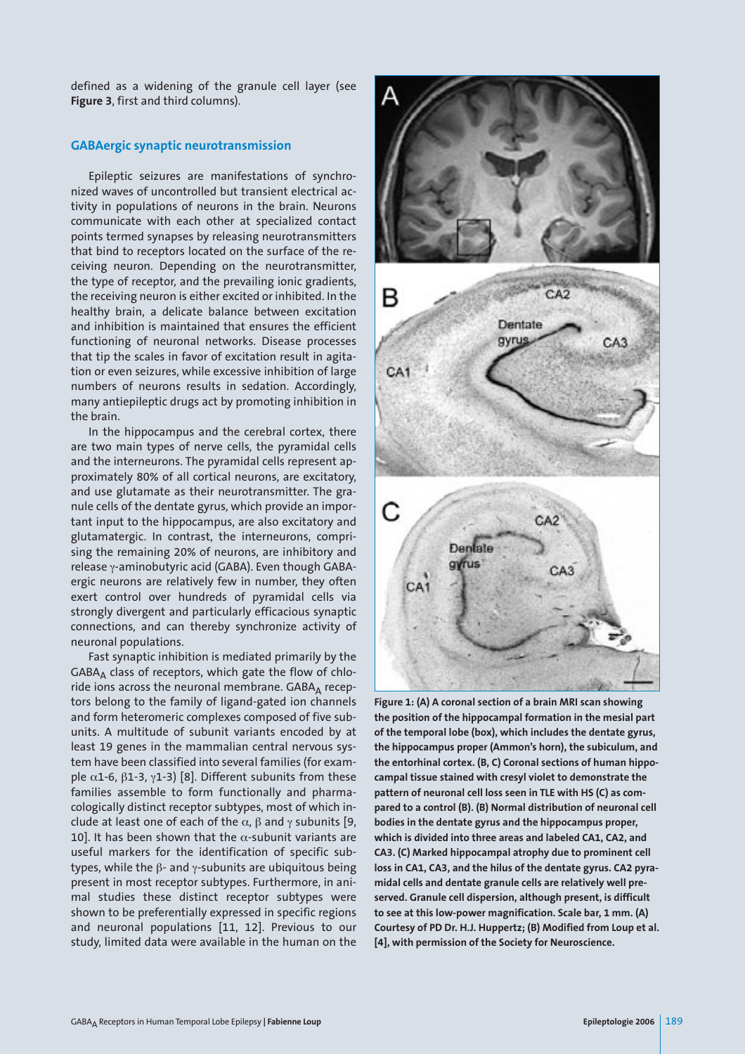defined as a widening of the granule cell layer (see **Figure 3**, first and third columns).

### **GABAergic synaptic neurotransmission**

Epileptic seizures are manifestations of synchronized waves of uncontrolled but transient electrical activity in populations of neurons in the brain. Neurons communicate with each other at specialized contact points termed synapses by releasing neurotransmitters that bind to receptors located on the surface of the receiving neuron. Depending on the neurotransmitter, the type of receptor, and the prevailing ionic gradients, the receiving neuron is either excited or inhibited. In the healthy brain, a delicate balance between excitation and inhibition is maintained that ensures the efficient functioning of neuronal networks. Disease processes that tip the scales in favor of excitation result in agitation or even seizures, while excessive inhibition of large numbers of neurons results in sedation. Accordingly, many antiepileptic drugs act by promoting inhibition in the brain.

In the hippocampus and the cerebral cortex, there are two main types of nerve cells, the pyramidal cells and the interneurons. The pyramidal cells represent approximately 80% of all cortical neurons, are excitatory, and use glutamate as their neurotransmitter. The granule cells of the dentate gyrus, which provide an important input to the hippocampus, are also excitatory and glutamatergic. In contrast, the interneurons, comprising the remaining 20% of neurons, are inhibitory and release γ-aminobutyric acid (GABA). Even though GABAergic neurons are relatively few in number, they often exert control over hundreds of pyramidal cells via strongly divergent and particularly efficacious synaptic connections, and can thereby synchronize activity of neuronal populations.

Fast synaptic inhibition is mediated primarily by the  $GABA_\Delta$  class of receptors, which gate the flow of chloride ions across the neuronal membrane.  $GABA_\Delta$  receptors belong to the family of ligand-gated ion channels and form heteromeric complexes composed of five subunits. A multitude of subunit variants encoded by at least 19 genes in the mammalian central nervous system have been classified into several families (for example  $α1-6$ ,  $β1-3$ ,  $γ1-3$ ) [8]. Different subunits from these families assemble to form functionally and pharmacologically distinct receptor subtypes, most of which include at least one of each of the  $\alpha$ ,  $\beta$  and  $\gamma$  subunits [9, 10]. It has been shown that the  $\alpha$ -subunit variants are useful markers for the identification of specific subtypes, while the β- and γ-subunits are ubiquitous being present in most receptor subtypes. Furthermore, in animal studies these distinct receptor subtypes were shown to be preferentially expressed in specific regions and neuronal populations [11, 12]. Previous to our study, limited data were available in the human on the



**Figure 1: (A) A coronal section of a brain MRI scan showing the position of the hippocampal formation in the mesial part of the temporal lobe (box), which includes the dentate gyrus, the hippocampus proper (Ammon's horn), the subiculum, and the entorhinal cortex. (B, C) Coronal sections of human hippocampal tissue stained with cresyl violet to demonstrate the pattern of neuronal cell loss seen in TLE with HS (C) as compared to a control (B). (B) Normal distribution of neuronal cell bodies in the dentate gyrus and the hippocampus proper, which is divided into three areas and labeled CA1, CA2, and CA3. (C) Marked hippocampal atrophy due to prominent cell loss in CA1, CA3, and the hilus of the dentate gyrus. CA2 pyramidal cells and dentate granule cells are relatively well preserved. Granule cell dispersion, although present, is difficult to see at this low-power magnification. Scale bar, 1 mm. (A) Courtesy of PD Dr. H.J. Huppertz; (B) Modified from Loup et al. [4], with permission of the Society for Neuroscience.**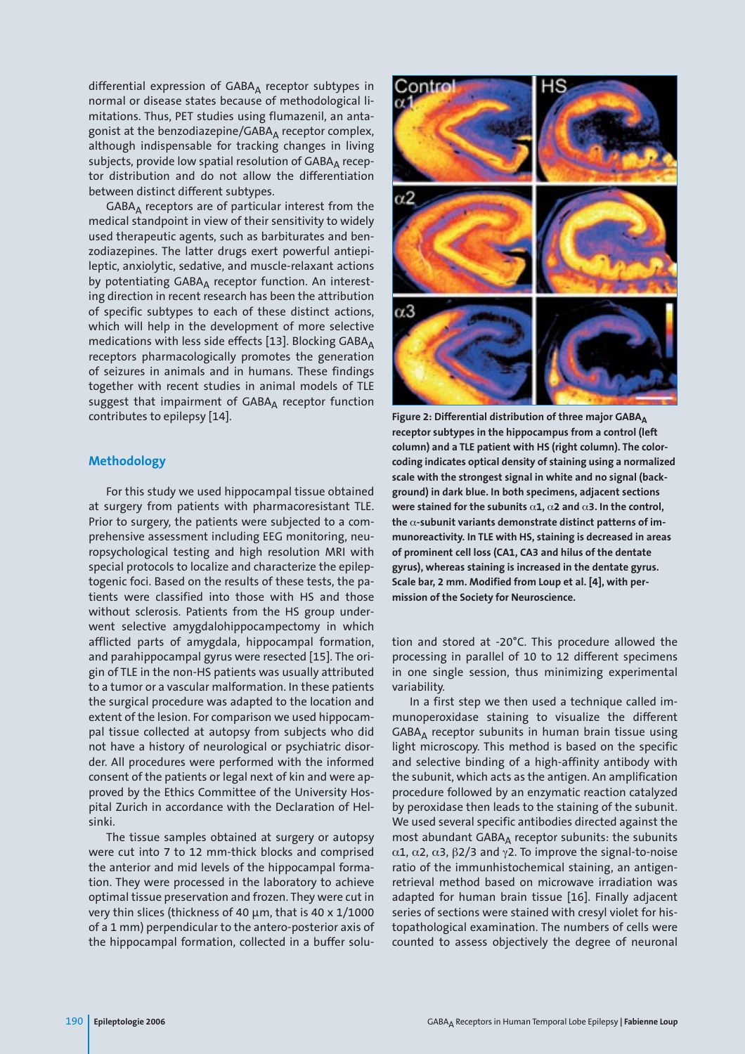differential expression of  $GABA_A$  receptor subtypes in normal or disease states because of methodological limitations. Thus, PET studies using flumazenil, an antagonist at the benzodiazepine/GABA $_A$  receptor complex, although indispensable for tracking changes in living subjects, provide low spatial resolution of GABAA receptor distribution and do not allow the differentiation between distinct different subtypes.

 $GABA_\Delta$  receptors are of particular interest from the medical standpoint in view of their sensitivity to widely used therapeutic agents, such as barbiturates and benzodiazepines. The latter drugs exert powerful antiepileptic, anxiolytic, sedative, and muscle-relaxant actions by potentiating  $GABA_A$  receptor function. An interesting direction in recent research has been the attribution of specific subtypes to each of these distinct actions, which will help in the development of more selective medications with less side effects [13]. Blocking GABA $_A$ receptors pharmacologically promotes the generation of seizures in animals and in humans. These findings together with recent studies in animal models of TLE suggest that impairment of  $GABA_A$  receptor function contributes to epilepsy [14].

#### **Methodology**

For this study we used hippocampal tissue obtained at surgery from patients with pharmacoresistant TLE. Prior to surgery, the patients were subjected to a comprehensive assessment including EEG monitoring, neuropsychological testing and high resolution MRI with special protocols to localize and characterize the epileptogenic foci. Based on the results of these tests, the patients were classified into those with HS and those without sclerosis. Patients from the HS group underwent selective amygdalohippocampectomy in which afflicted parts of amygdala, hippocampal formation, and parahippocampal gyrus were resected [15]. The origin of TLE in the non-HS patients was usually attributed to a tumor or a vascular malformation. In these patients the surgical procedure was adapted to the location and extent of the lesion. For comparison we used hippocampal tissue collected at autopsy from subjects who did not have a history of neurological or psychiatric disorder. All procedures were performed with the informed consent of the patients or legal next of kin and were approved by the Ethics Committee of the University Hospital Zurich in accordance with the Declaration of Helsinki.

The tissue samples obtained at surgery or autopsy were cut into 7 to 12 mm-thick blocks and comprised the anterior and mid levels of the hippocampal formation. They were processed in the laboratory to achieve optimal tissue preservation and frozen. They were cut in very thin slices (thickness of 40  $\mu$ m, that is 40 x 1/1000 of a 1 mm) perpendicular to the antero-posterior axis of the hippocampal formation, collected in a buffer solu-



Figure 2: Differential distribution of three major GABA<sub>A</sub> **receptor subtypes in the hippocampus from a control (left column) and a TLE patient with HS (right column). The colorcoding indicates optical density of staining using a normalized scale with the strongest signal in white and no signal (background) in dark blue. In both specimens, adjacent sections were stained for the subunits** α**1,** α**2 and** α**3. In the control, the** α**-subunit variants demonstrate distinct patterns of immunoreactivity. In TLE with HS, staining is decreased in areas of prominent cell loss (CA1, CA3 and hilus of the dentate gyrus), whereas staining is increased in the dentate gyrus. Scale bar, 2 mm. Modified from Loup et al. [4], with permission of the Society for Neuroscience.** 

tion and stored at -20°C. This procedure allowed the processing in parallel of 10 to 12 different specimens in one single session, thus minimizing experimental variability.

In a first step we then used a technique called immunoperoxidase staining to visualize the different  $GABA_\Delta$  receptor subunits in human brain tissue using light microscopy. This method is based on the specific and selective binding of a high-affinity antibody with the subunit, which acts as the antigen. An amplification procedure followed by an enzymatic reaction catalyzed by peroxidase then leads to the staining of the subunit. We used several specific antibodies directed against the most abundant GABAA receptor subunits: the subunits α1, α2, α3, β2/3 and γ2. To improve the signal-to-noise ratio of the immunhistochemical staining, an antigenretrieval method based on microwave irradiation was adapted for human brain tissue [16]. Finally adjacent series of sections were stained with cresyl violet for histopathological examination. The numbers of cells were counted to assess objectively the degree of neuronal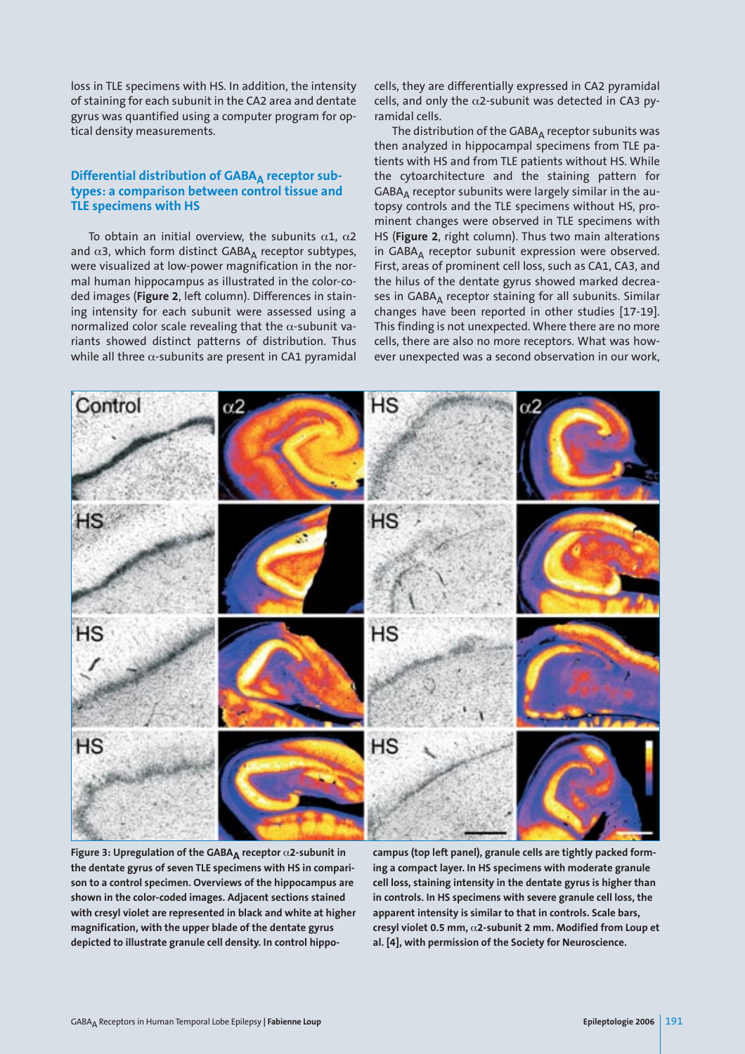loss in TLE specimens with HS. In addition, the intensity of staining for each subunit in the CA2 area and dentate gyrus was quantified using a computer program for optical density measurements.

# Differential distribution of GABA<sub>A</sub> receptor sub**types: a comparison between control tissue and TLE specimens with HS**

To obtain an initial overview, the subunits α1, α2 and  $\alpha$ 3, which form distinct GABA<sub>A</sub> receptor subtypes, were visualized at low-power magnification in the normal human hippocampus as illustrated in the color-coded images (**Figure 2**, left column). Differences in staining intensity for each subunit were assessed using a normalized color scale revealing that the  $\alpha$ -subunit variants showed distinct patterns of distribution. Thus while all three  $\alpha$ -subunits are present in CA1 pyramidal cells, they are differentially expressed in CA2 pyramidal cells, and only the  $\alpha$ 2-subunit was detected in CA3 pyramidal cells.

The distribution of the GABA<sub>A</sub> receptor subunits was then analyzed in hippocampal specimens from TLE patients with HS and from TLE patients without HS. While the cytoarchitecture and the staining pattern for  $GABA_\Delta$  receptor subunits were largely similar in the autopsy controls and the TLE specimens without HS, prominent changes were observed in TLE specimens with HS (**Figure 2**, right column). Thus two main alterations in GABA<sub>A</sub> receptor subunit expression were observed. First, areas of prominent cell loss, such as CA1, CA3, and the hilus of the dentate gyrus showed marked decreases in GABA<sub>A</sub> receptor staining for all subunits. Similar changes have been reported in other studies [17-19]. This finding is not unexpected. Where there are no more cells, there are also no more receptors. What was however unexpected was a second observation in our work,



**Figure 3: Upregulation of the GABAA receptor** α**2-subunit in the dentate gyrus of seven TLE specimens with HS in comparison to a control specimen. Overviews of the hippocampus are shown in the color-coded images. Adjacent sections stained with cresyl violet are represented in black and white at higher magnification, with the upper blade of the dentate gyrus depicted to illustrate granule cell density. In control hippo-**

**campus (top left panel), granule cells are tightly packed forming a compact layer. In HS specimens with moderate granule cell loss, staining intensity in the dentate gyrus is higher than in controls. In HS specimens with severe granule cell loss, the apparent intensity is similar to that in controls. Scale bars, cresyl violet 0.5 mm,** α**2-subunit 2 mm. Modified from Loup et al. [4], with permission of the Society for Neuroscience.**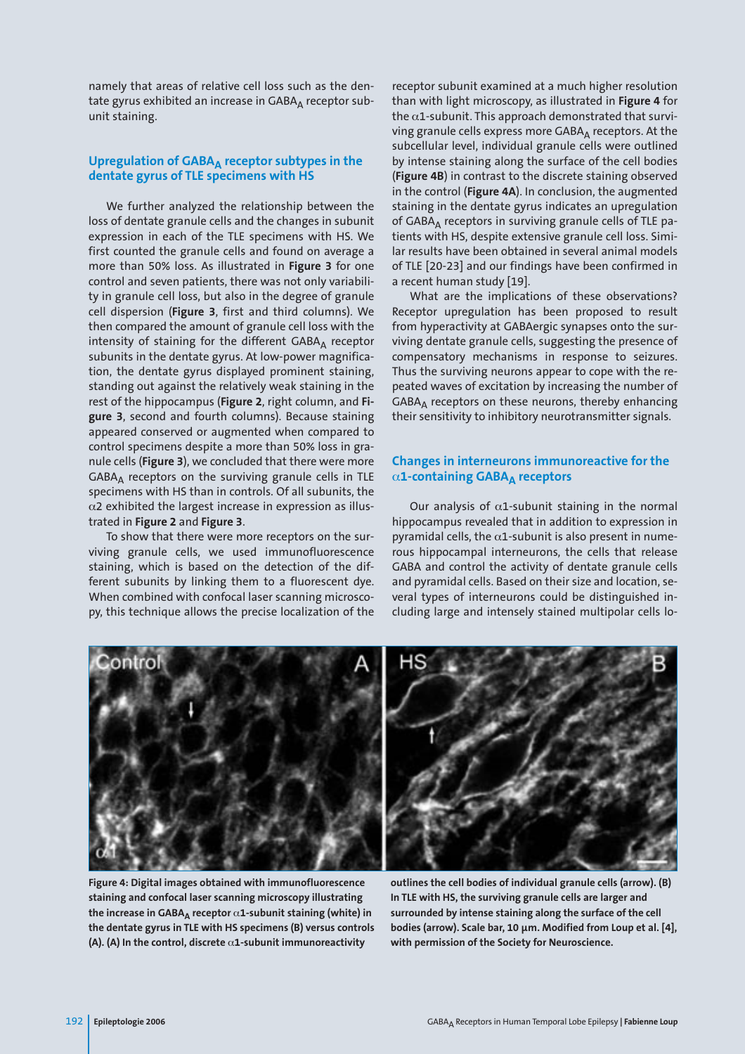namely that areas of relative cell loss such as the dentate gyrus exhibited an increase in GABAA receptor subunit staining.

# Upregulation of GABA<sub>A</sub> receptor subtypes in the **dentate gyrus of TLE specimens with HS**

We further analyzed the relationship between the loss of dentate granule cells and the changes in subunit expression in each of the TLE specimens with HS. We first counted the granule cells and found on average a more than 50% loss. As illustrated in **Figure 3** for one control and seven patients, there was not only variability in granule cell loss, but also in the degree of granule cell dispersion (**Figure 3**, first and third columns). We then compared the amount of granule cell loss with the intensity of staining for the different GABAA receptor subunits in the dentate gyrus. At low-power magnification, the dentate gyrus displayed prominent staining, standing out against the relatively weak staining in the rest of the hippocampus (**Figure 2**, right column, and **Figure 3**, second and fourth columns). Because staining appeared conserved or augmented when compared to control specimens despite a more than 50% loss in granule cells (**Figure 3**), we concluded that there were more  $GABA_\Delta$  receptors on the surviving granule cells in TLE specimens with HS than in controls. Of all subunits, the  $\alpha$ 2 exhibited the largest increase in expression as illustrated in **Figure 2** and **Figure 3**.

To show that there were more receptors on the surviving granule cells, we used immunofluorescence staining, which is based on the detection of the different subunits by linking them to a fluorescent dye. When combined with confocal laser scanning microscopy, this technique allows the precise localization of the

receptor subunit examined at a much higher resolution than with light microscopy, as illustrated in **Figure 4** for the  $\alpha$ 1-subunit. This approach demonstrated that surviving granule cells express more GABA<sub>A</sub> receptors. At the subcellular level, individual granule cells were outlined by intense staining along the surface of the cell bodies (**Figure 4B**) in contrast to the discrete staining observed in the control (**Figure 4A**). In conclusion, the augmented staining in the dentate gyrus indicates an upregulation of GABA<sub>A</sub> receptors in surviving granule cells of TLE patients with HS, despite extensive granule cell loss. Similar results have been obtained in several animal models of TLE [20-23] and our findings have been confirmed in a recent human study [19].

What are the implications of these observations? Receptor upregulation has been proposed to result from hyperactivity at GABAergic synapses onto the surviving dentate granule cells, suggesting the presence of compensatory mechanisms in response to seizures. Thus the surviving neurons appear to cope with the repeated waves of excitation by increasing the number of GABAA receptors on these neurons, thereby enhancing their sensitivity to inhibitory neurotransmitter signals.

# **Changes in interneurons immunoreactive for the** α**1-containing GABAA receptors**

Our analysis of  $\alpha$ 1-subunit staining in the normal hippocampus revealed that in addition to expression in pyramidal cells, the  $\alpha$ 1-subunit is also present in numerous hippocampal interneurons, the cells that release GABA and control the activity of dentate granule cells and pyramidal cells. Based on their size and location, several types of interneurons could be distinguished including large and intensely stained multipolar cells lo-



**Figure 4: Digital images obtained with immunofluorescence staining and confocal laser scanning microscopy illustrating the increase in GABAA receptor** α**1-subunit staining (white) in the dentate gyrus in TLE with HS specimens (B) versus controls (A). (A) In the control, discrete** α**1-subunit immunoreactivity**

**outlines the cell bodies of individual granule cells (arrow). (B) In TLE with HS, the surviving granule cells are larger and surrounded by intense staining along the surface of the cell bodies (arrow). Scale bar, 10 µm. Modified from Loup et al. [4], with permission of the Society for Neuroscience.**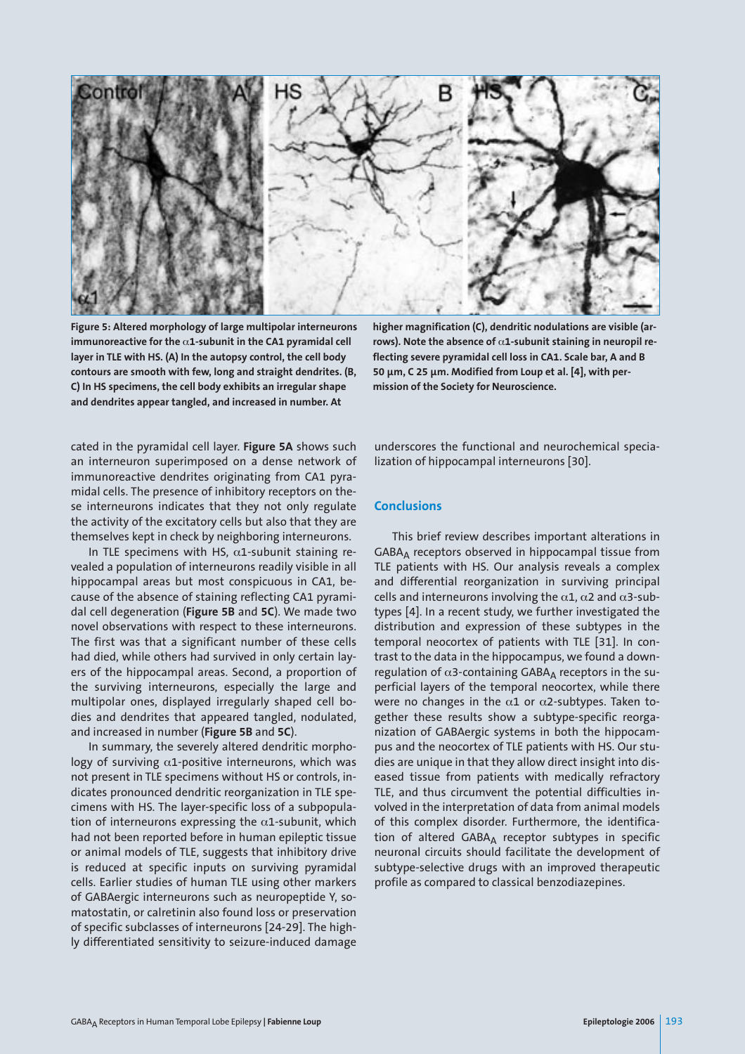

**Figure 5: Altered morphology of large multipolar interneurons immunoreactive for the** α**1-subunit in the CA1 pyramidal cell layer in TLE with HS. (A) In the autopsy control, the cell body contours are smooth with few, long and straight dendrites. (B, C) In HS specimens, the cell body exhibits an irregular shape and dendrites appear tangled, and increased in number. At**

**higher magnification (C), dendritic nodulations are visible (arrows). Note the absence of** α**1-subunit staining in neuropil reflecting severe pyramidal cell loss in CA1. Scale bar, A and B 50 µm, C 25 µm. Modified from Loup et al. [4], with permission of the Society for Neuroscience.** 

cated in the pyramidal cell layer. **Figure 5A** shows such an interneuron superimposed on a dense network of immunoreactive dendrites originating from CA1 pyramidal cells. The presence of inhibitory receptors on these interneurons indicates that they not only regulate the activity of the excitatory cells but also that they are themselves kept in check by neighboring interneurons.

In TLE specimens with HS,  $\alpha$ 1-subunit staining revealed a population of interneurons readily visible in all hippocampal areas but most conspicuous in CA1, because of the absence of staining reflecting CA1 pyramidal cell degeneration (**Figure 5B** and **5C**). We made two novel observations with respect to these interneurons. The first was that a significant number of these cells had died, while others had survived in only certain layers of the hippocampal areas. Second, a proportion of the surviving interneurons, especially the large and multipolar ones, displayed irregularly shaped cell bodies and dendrites that appeared tangled, nodulated, and increased in number (**Figure 5B** and **5C**).

In summary, the severely altered dendritic morphology of surviving  $\alpha$ 1-positive interneurons, which was not present in TLE specimens without HS or controls, indicates pronounced dendritic reorganization in TLE specimens with HS. The layer-specific loss of a subpopulation of interneurons expressing the  $\alpha$ 1-subunit, which had not been reported before in human epileptic tissue or animal models of TLE, suggests that inhibitory drive is reduced at specific inputs on surviving pyramidal cells. Earlier studies of human TLE using other markers of GABAergic interneurons such as neuropeptide Y, somatostatin, or calretinin also found loss or preservation of specific subclasses of interneurons [24-29]. The highly differentiated sensitivity to seizure-induced damage

underscores the functional and neurochemical specialization of hippocampal interneurons [30].

#### **Conclusions**

This brief review describes important alterations in  $GABA_A$  receptors observed in hippocampal tissue from TLE patients with HS. Our analysis reveals a complex and differential reorganization in surviving principal cells and interneurons involving the  $\alpha$ 1,  $\alpha$ 2 and  $\alpha$ 3-subtypes [4]. In a recent study, we further investigated the distribution and expression of these subtypes in the temporal neocortex of patients with TLE [31]. In contrast to the data in the hippocampus, we found a downregulation of  $\alpha$ 3-containing GABA<sub>A</sub> receptors in the superficial layers of the temporal neocortex, while there were no changes in the  $\alpha$ 1 or  $\alpha$ 2-subtypes. Taken together these results show a subtype-specific reorganization of GABAergic systems in both the hippocampus and the neocortex of TLE patients with HS. Our studies are unique in that they allow direct insight into diseased tissue from patients with medically refractory TLE, and thus circumvent the potential difficulties involved in the interpretation of data from animal models of this complex disorder. Furthermore, the identification of altered GABAA receptor subtypes in specific neuronal circuits should facilitate the development of subtype-selective drugs with an improved therapeutic profile as compared to classical benzodiazepines.